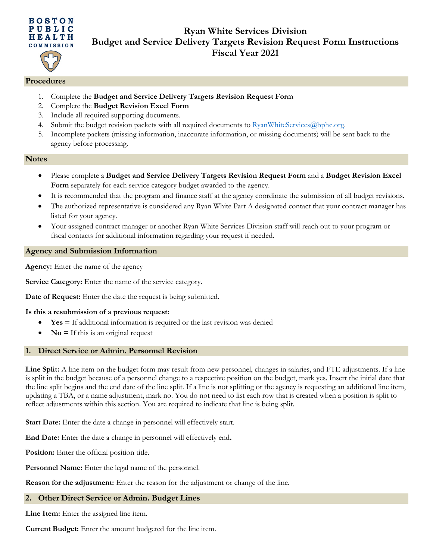

# **Ryan White Services Division Budget and Service Delivery Targets Revision Request Form Instructions Fiscal Year 2021**

## **Procedures**

- 1. Complete the **Budget and Service Delivery Targets Revision Request Form**
- 2. Complete the **Budget Revision Excel Form**
- 3. Include all required supporting documents.
- 4. Submit the budget revision packets with all required documents to [RyanWhiteServices@bphc.org.](mailto:RyanWhiteServices@bphc.org)
- 5. Incomplete packets (missing information, inaccurate information, or missing documents) will be sent back to the agency before processing.

#### **Notes**

- Please complete a **Budget and Service Delivery Targets Revision Request Form** and a **Budget Revision Excel Form** separately for each service category budget awarded to the agency.
- It is recommended that the program and finance staff at the agency coordinate the submission of all budget revisions.
- The authorized representative is considered any Ryan White Part A designated contact that your contract manager has listed for your agency.
- Your assigned contract manager or another Ryan White Services Division staff will reach out to your program or fiscal contacts for additional information regarding your request if needed.

# **Agency and Submission Information**

**Agency:** Enter the name of the agency

**Service Category:** Enter the name of the service category.

**Date of Request:** Enter the date the request is being submitted.

#### **Is this a resubmission of a previous request:**

- **Yes =** If additional information is required or the last revision was denied
- **No** = If this is an original request

# **1. Direct Service or Admin. Personnel Revision**

Line Split: A line item on the budget form may result from new personnel, changes in salaries, and FTE adjustments. If a line is split in the budget because of a personnel change to a respective position on the budget, mark yes. Insert the initial date that the line split begins and the end date of the line split. If a line is not splitting or the agency is requesting an additional line item, updating a TBA, or a name adjustment, mark no. You do not need to list each row that is created when a position is split to reflect adjustments within this section. You are required to indicate that line is being split.

Start Date: Enter the date a change in personnel will effectively start.

**End Date:** Enter the date a change in personnel will effectively end**.** 

**Position:** Enter the official position title.

Personnel Name: Enter the legal name of the personnel.

**Reason for the adjustment:** Enter the reason for the adjustment or change of the line.

# **2. Other Direct Service or Admin. Budget Lines**

**Line Item:** Enter the assigned line item.

**Current Budget:** Enter the amount budgeted for the line item.